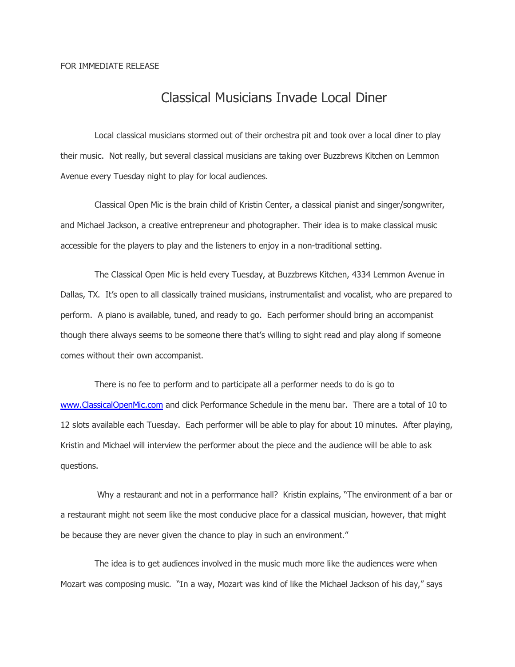## Classical Musicians Invade Local Diner

Local classical musicians stormed out of their orchestra pit and took over a local diner to play their music. Not really, but several classical musicians are taking over Buzzbrews Kitchen on Lemmon Avenue every Tuesday night to play for local audiences.

Classical Open Mic is the brain child of Kristin Center, a classical pianist and singer/songwriter, and Michael Jackson, a creative entrepreneur and photographer. Their idea is to make classical music accessible for the players to play and the listeners to enjoy in a non-traditional setting.

The Classical Open Mic is held every Tuesday, at Buzzbrews Kitchen, 4334 Lemmon Avenue in Dallas, TX. It's open to all classically trained musicians, instrumentalist and vocalist, who are prepared to perform. A piano is available, tuned, and ready to go. Each performer should bring an accompanist though there always seems to be someone there that's willing to sight read and play along if someone comes without their own accompanist.

There is no fee to perform and to participate all a performer needs to do is go to [www.ClassicalOpenMic.com](http://www.ClassicalOpenMic.com/) and click Performance Schedule in the menu bar. There are a total of 10 to 12 slots available each Tuesday. Each performer will be able to play for about 10 minutes. After playing, Kristin and Michael will interview the performer about the piece and the audience will be able to ask questions.

 Why a restaurant and not in a performance hall? Kristin explains, "The environment of a bar or a restaurant might not seem like the most conducive place for a classical musician, however, that might be because they are never given the chance to play in such an environment."

The idea is to get audiences involved in the music much more like the audiences were when Mozart was composing music. "In a way, Mozart was kind of like the Michael Jackson of his day," says